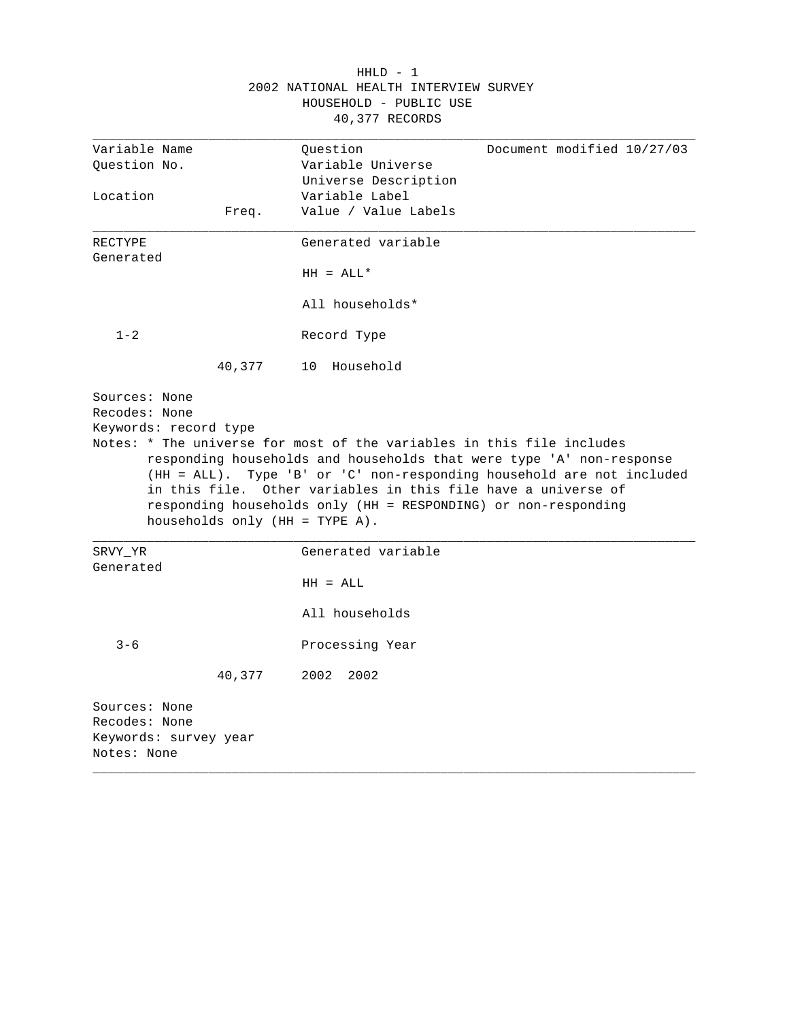|                                                                        |                                   | $HHLD - 1$                                                                                                                                                                                                                                                                       |                                                                       |
|------------------------------------------------------------------------|-----------------------------------|----------------------------------------------------------------------------------------------------------------------------------------------------------------------------------------------------------------------------------------------------------------------------------|-----------------------------------------------------------------------|
|                                                                        |                                   | 2002 NATIONAL HEALTH INTERVIEW SURVEY                                                                                                                                                                                                                                            |                                                                       |
|                                                                        |                                   | HOUSEHOLD - PUBLIC USE                                                                                                                                                                                                                                                           |                                                                       |
|                                                                        |                                   | 40,377 RECORDS                                                                                                                                                                                                                                                                   |                                                                       |
| Variable Name                                                          |                                   | Question                                                                                                                                                                                                                                                                         | Document modified 10/27/03                                            |
| Question No.                                                           |                                   | Variable Universe                                                                                                                                                                                                                                                                |                                                                       |
|                                                                        |                                   | Universe Description                                                                                                                                                                                                                                                             |                                                                       |
| Location                                                               |                                   | Variable Label                                                                                                                                                                                                                                                                   |                                                                       |
|                                                                        | Freq.                             | Value / Value Labels                                                                                                                                                                                                                                                             |                                                                       |
| RECTYPE                                                                |                                   | Generated variable                                                                                                                                                                                                                                                               |                                                                       |
| Generated                                                              |                                   |                                                                                                                                                                                                                                                                                  |                                                                       |
|                                                                        |                                   | $HH = ALL*$                                                                                                                                                                                                                                                                      |                                                                       |
|                                                                        |                                   | All households*                                                                                                                                                                                                                                                                  |                                                                       |
| $1 - 2$                                                                |                                   | Record Type                                                                                                                                                                                                                                                                      |                                                                       |
|                                                                        | 40,377                            | 10 Household                                                                                                                                                                                                                                                                     |                                                                       |
|                                                                        | households only $(HH = TYPE A)$ . | Notes: * The universe for most of the variables in this file includes<br>responding households and households that were type 'A' non-response<br>in this file. Other variables in this file have a universe of<br>responding households only (HH = RESPONDING) or non-responding | (HH = ALL). Type 'B' or 'C' non-responding household are not included |
| SRVY_YR                                                                |                                   | Generated variable                                                                                                                                                                                                                                                               |                                                                       |
| Generated                                                              |                                   |                                                                                                                                                                                                                                                                                  |                                                                       |
|                                                                        |                                   | $HH = ALL$                                                                                                                                                                                                                                                                       |                                                                       |
|                                                                        |                                   | All households                                                                                                                                                                                                                                                                   |                                                                       |
| $3 - 6$                                                                |                                   | Processing Year                                                                                                                                                                                                                                                                  |                                                                       |
|                                                                        | 40,377                            | 2002<br>2002                                                                                                                                                                                                                                                                     |                                                                       |
| Sources: None<br>Recodes: None<br>Keywords: survey year<br>Notes: None |                                   |                                                                                                                                                                                                                                                                                  |                                                                       |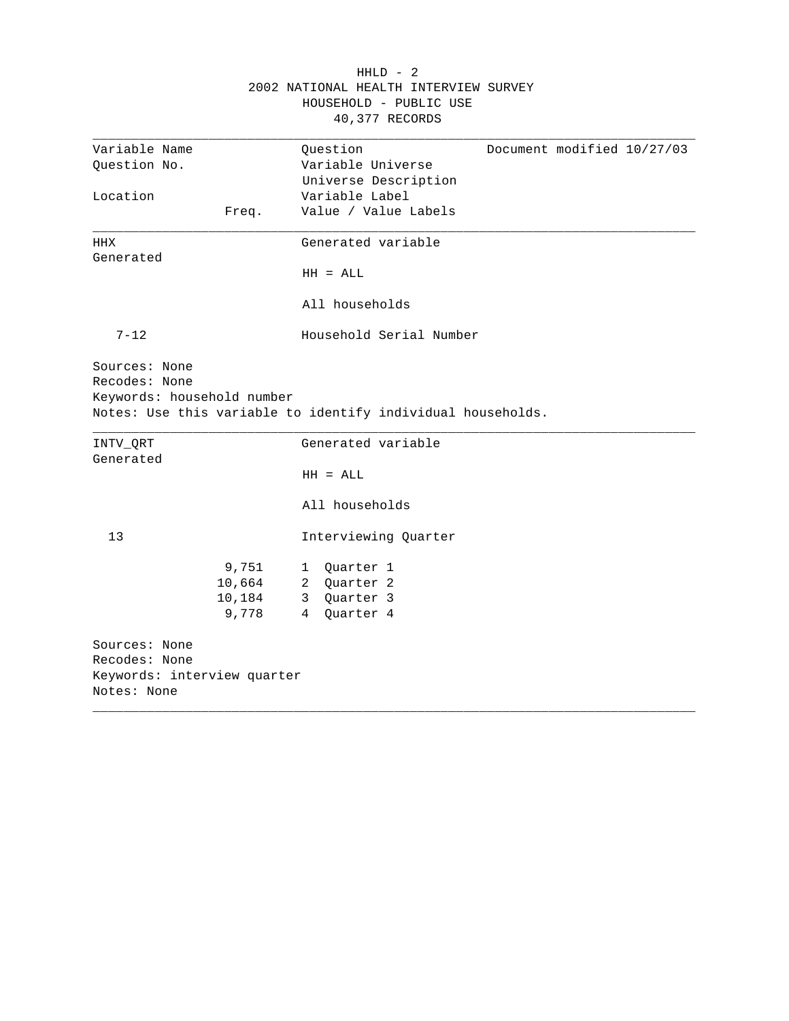|                                                                              |                                    | 2002 NATIONAL HEALTH INTERVIEW SURVEY<br>HOUSEHOLD - PUBLIC USE<br>40,377 RECORDS   |
|------------------------------------------------------------------------------|------------------------------------|-------------------------------------------------------------------------------------|
| Variable Name<br>Question No.                                                |                                    | Document modified 10/27/03<br>Question<br>Variable Universe<br>Universe Description |
| Location                                                                     | Freq.                              | Variable Label<br>Value / Value Labels                                              |
| HHX<br>Generated                                                             |                                    | Generated variable                                                                  |
|                                                                              |                                    | $HH = ALL$<br>All households                                                        |
| $7 - 12$                                                                     |                                    | Household Serial Number                                                             |
| Sources: None<br>Recodes: None<br>Keywords: household number                 |                                    | Notes: Use this variable to identify individual households.                         |
| INTV ORT<br>Generated                                                        |                                    | Generated variable                                                                  |
|                                                                              |                                    | $HH = ALL$                                                                          |
|                                                                              |                                    | All households                                                                      |
| 13                                                                           |                                    | Interviewing Quarter                                                                |
|                                                                              | 9,751<br>10,664<br>10,184<br>9,778 | 1 Quarter 1<br>2 Quarter 2<br>3 Quarter 3<br>4 Quarter 4                            |
| Sources: None<br>Recodes: None<br>Keywords: interview quarter<br>Notes: None |                                    |                                                                                     |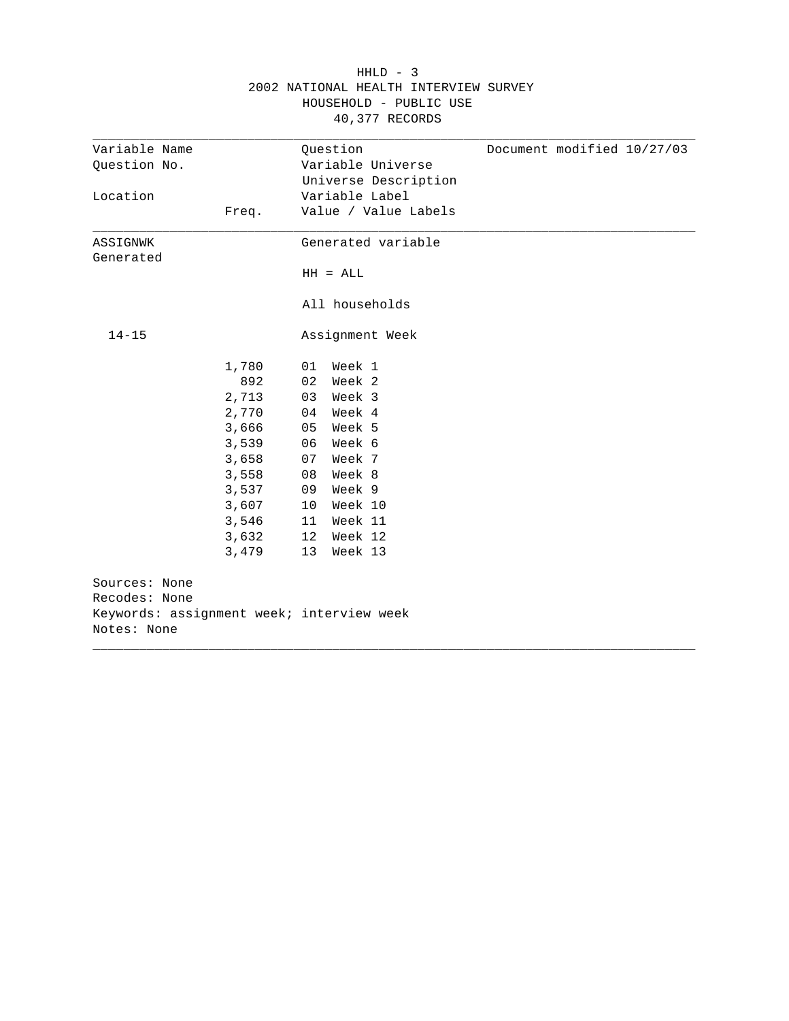|               |       | 40,377 RECORDS                            |
|---------------|-------|-------------------------------------------|
| Variable Name |       | Document modified 10/27/03<br>Question    |
| Question No.  |       | Variable Universe                         |
|               |       | Universe Description                      |
| Location      |       | Variable Label                            |
|               | Freq. | Value / Value Labels                      |
| ASSIGNWK      |       | Generated variable                        |
| Generated     |       |                                           |
|               |       | $HH = ALL$                                |
|               |       | All households                            |
| $14 - 15$     |       | Assignment Week                           |
|               | 1,780 | Week 1<br>01                              |
|               | 892   | Week 2<br>02                              |
|               | 2,713 | Week 3<br>03                              |
|               | 2,770 | Week 4<br>04                              |
|               | 3,666 | Week 5<br>05                              |
|               | 3,539 | Week 6<br>06                              |
|               | 3,658 | Week 7<br>07                              |
|               | 3,558 | Week 8<br>08                              |
|               | 3,537 | Week 9<br>09                              |
|               | 3,607 | 10 <sup>°</sup><br>Week 10                |
|               | 3,546 | Week 11<br>11                             |
|               | 3,632 | 12<br>Week 12                             |
|               | 3,479 | Week 13<br>13                             |
| Sources: None |       |                                           |
| Recodes: None |       |                                           |
| Notes: None   |       | Keywords: assignment week; interview week |

## $HHLD - 3$ 2002 NATIONAL HEALTH INTERVIEW SURVEY HOUSEHOLD - PUBLIC USE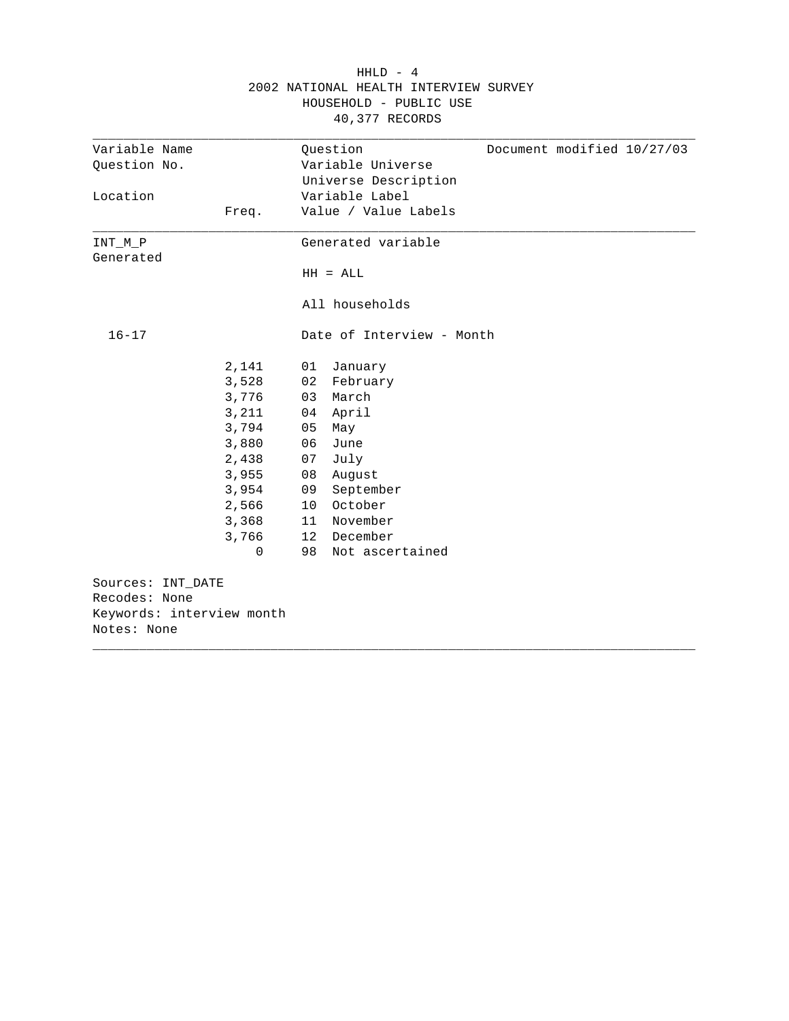|                           |              | HOUSEHOLD - PUBLIC USE<br>40,377 RECORDS |
|---------------------------|--------------|------------------------------------------|
| Variable Name             |              | Question<br>Document modified 10/27/03   |
| Question No.              |              | Variable Universe                        |
|                           |              | Universe Description                     |
| Location                  |              | Variable Label                           |
|                           | Freq.        | Value / Value Labels                     |
| $INT_M_P$<br>Generated    |              | Generated variable                       |
|                           |              | $HH = ALL$                               |
|                           |              | All households                           |
| $16 - 17$                 |              | Date of Interview - Month                |
|                           | 2,141        | 01<br>January                            |
|                           | 3,528        | 02<br>February                           |
|                           | 3,776        | 03 March                                 |
|                           | 3,211        | 04 April                                 |
|                           | 3,794        | 05<br>May                                |
|                           | 3,880        | 06<br>June                               |
|                           | 2,438        | 07<br>July                               |
|                           | 3,955        | 08<br>August                             |
|                           | 3,954        | 09<br>September                          |
|                           | 2,566        | October<br>10                            |
|                           | 3,368        | 11 November                              |
|                           | 3,766        | 12 December                              |
|                           | $\mathbf{0}$ | 98<br>Not ascertained                    |
| Sources: INT_DATE         |              |                                          |
| Recodes: None             |              |                                          |
| Keywords: interview month |              |                                          |
| Notes: None               |              |                                          |

 $HHLD - 4$ 2002 NATIONAL HEALTH INTERVIEW SURVEY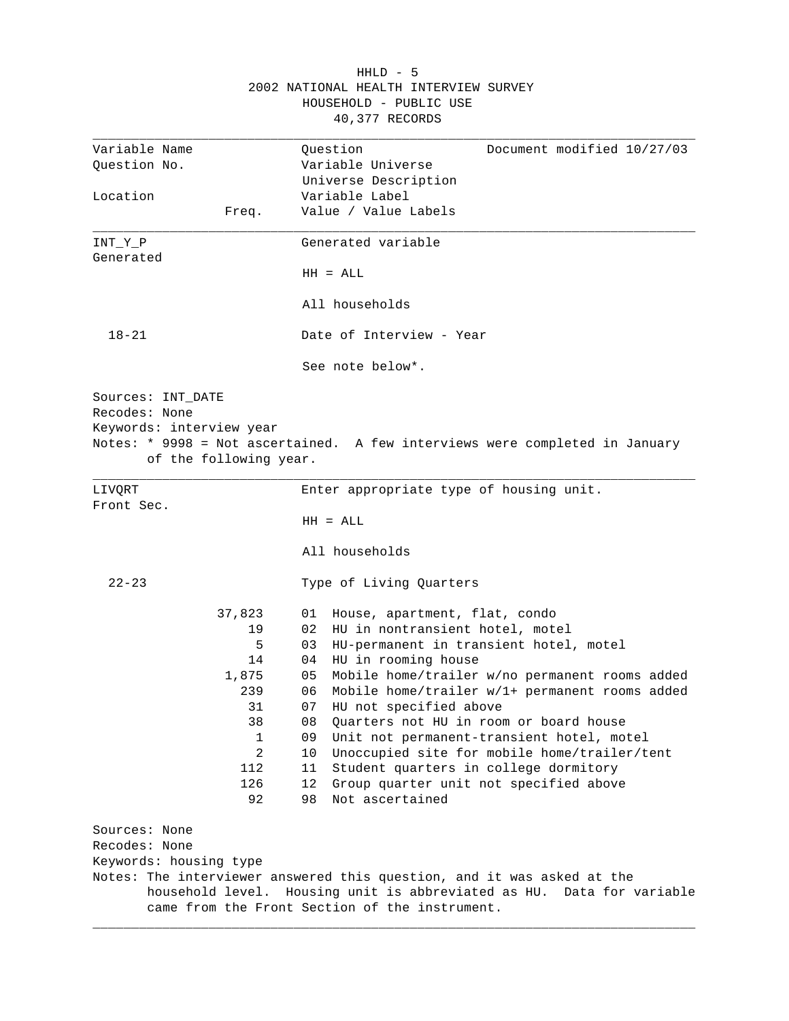|                                                                                          | 2002 NATIONAL HEALTH INTERVIEW SURVEY<br>HOUSEHOLD - PUBLIC USE<br>40,377 RECORDS                      |
|------------------------------------------------------------------------------------------|--------------------------------------------------------------------------------------------------------|
| Variable Name                                                                            | Ouestion<br>Document modified 10/27/03                                                                 |
| Question No.                                                                             | Variable Universe                                                                                      |
|                                                                                          | Universe Description                                                                                   |
| Location                                                                                 | Variable Label                                                                                         |
| Freq.                                                                                    | Value / Value Labels                                                                                   |
| INT_Y_P                                                                                  | Generated variable                                                                                     |
| Generated                                                                                |                                                                                                        |
|                                                                                          | $HH = ALL$                                                                                             |
|                                                                                          | All households                                                                                         |
| $18 - 21$                                                                                | Date of Interview - Year                                                                               |
|                                                                                          | See note below*.                                                                                       |
| Sources: INT_DATE<br>Recodes: None<br>Keywords: interview year<br>of the following year. | Notes: * 9998 = Not ascertained. A few interviews were completed in January                            |
| LIVORT                                                                                   | Enter appropriate type of housing unit.                                                                |
| Front Sec.                                                                               |                                                                                                        |
|                                                                                          | $HH = ALL$                                                                                             |
|                                                                                          | All households                                                                                         |
| $22 - 23$                                                                                | Type of Living Quarters                                                                                |
| 37,823                                                                                   | House, apartment, flat, condo<br>01                                                                    |
| 19                                                                                       | 02<br>HU in nontransient hotel, motel                                                                  |
| 5                                                                                        | 03<br>HU-permanent in transient hotel, motel                                                           |
| 14                                                                                       | 04<br>HU in rooming house                                                                              |
| 1,875                                                                                    | 05<br>Mobile home/trailer w/no permanent rooms added                                                   |
| 239                                                                                      | 06<br>Mobile home/trailer w/1+ permanent rooms added                                                   |
| 31                                                                                       | 07<br>HU not specified above                                                                           |
| 38                                                                                       | 08<br>Ouarters not HU in room or board house                                                           |
| 1                                                                                        | 09<br>Unit not permanent-transient hotel, motel                                                        |
| $\overline{2}$                                                                           | 10<br>Unoccupied site for mobile home/trailer/tent                                                     |
| 112                                                                                      | 11<br>Student quarters in college dormitory                                                            |
| 126                                                                                      | 12<br>Group quarter unit not specified above                                                           |
| 92                                                                                       | Not ascertained<br>98                                                                                  |
| Sources: None                                                                            |                                                                                                        |
| Recodes: None                                                                            |                                                                                                        |
| Keywords: housing type                                                                   |                                                                                                        |
|                                                                                          | Notes: The interviewer answered this question, and it was asked at the                                 |
| household level.                                                                         | Housing unit is abbreviated as HU. Data for variable<br>came from the Front Section of the instrument. |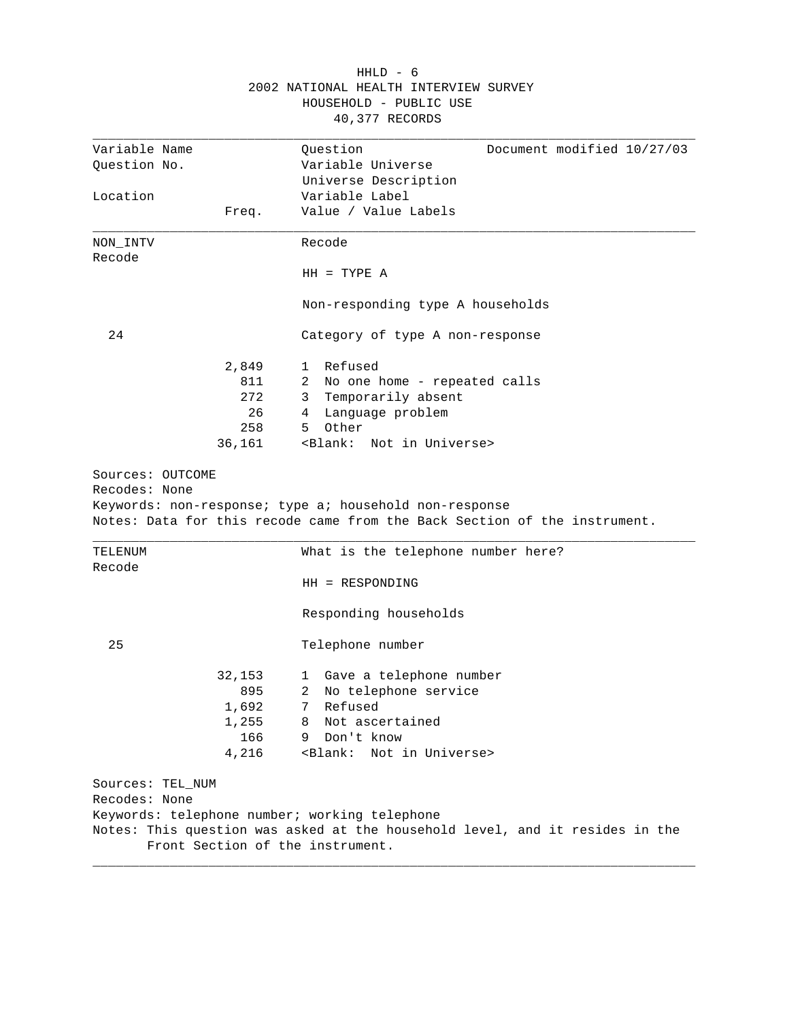|                                   |              | HOUSEHOLD - PUBLIC USE                                                                                                              |
|-----------------------------------|--------------|-------------------------------------------------------------------------------------------------------------------------------------|
|                                   |              | 40,377 RECORDS                                                                                                                      |
| Variable Name                     |              | Document modified 10/27/03<br>Question                                                                                              |
| Question No.                      |              | Variable Universe                                                                                                                   |
|                                   |              | Universe Description                                                                                                                |
| Location                          |              | Variable Label                                                                                                                      |
|                                   | Freq.        | Value / Value Labels                                                                                                                |
| NON INTV                          |              | Recode                                                                                                                              |
| Recode                            |              |                                                                                                                                     |
|                                   |              | $HH = TYPE A$                                                                                                                       |
|                                   |              | Non-responding type A households                                                                                                    |
| 24                                |              | Category of type A non-response                                                                                                     |
|                                   | 2,849        | 1 Refused                                                                                                                           |
|                                   | 811          | 2 No one home - repeated calls                                                                                                      |
|                                   | 272          | 3 Temporarily absent                                                                                                                |
|                                   | 26           | 4 Language problem                                                                                                                  |
|                                   | 258          | Other<br>5                                                                                                                          |
|                                   | 36,161       | <blank: in="" not="" universe=""></blank:>                                                                                          |
|                                   |              |                                                                                                                                     |
|                                   |              | Keywords: non-response; type a; household non-response<br>Notes: Data for this recode came from the Back Section of the instrument. |
| TELENUM<br>Recode                 |              | What is the telephone number here?                                                                                                  |
|                                   |              | HH = RESPONDING                                                                                                                     |
|                                   |              | Responding households                                                                                                               |
| 25                                |              | Telephone number                                                                                                                    |
|                                   |              |                                                                                                                                     |
|                                   | 32,153       | 1 Gave a telephone number                                                                                                           |
|                                   | 895          | No telephone service<br>2<br>Refused<br>7                                                                                           |
|                                   | 1,692        | Not ascertained<br>8                                                                                                                |
|                                   | 1,255<br>166 | Don't know<br>9                                                                                                                     |
|                                   | 4,216        | <blank:<br>Not in Universe&gt;</blank:<br>                                                                                          |
| Sources: TEL_NUM<br>Recodes: None |              |                                                                                                                                     |
|                                   |              | Keywords: telephone number; working telephone                                                                                       |

 HHLD - 6 2002 NATIONAL HEALTH INTERVIEW SURVEY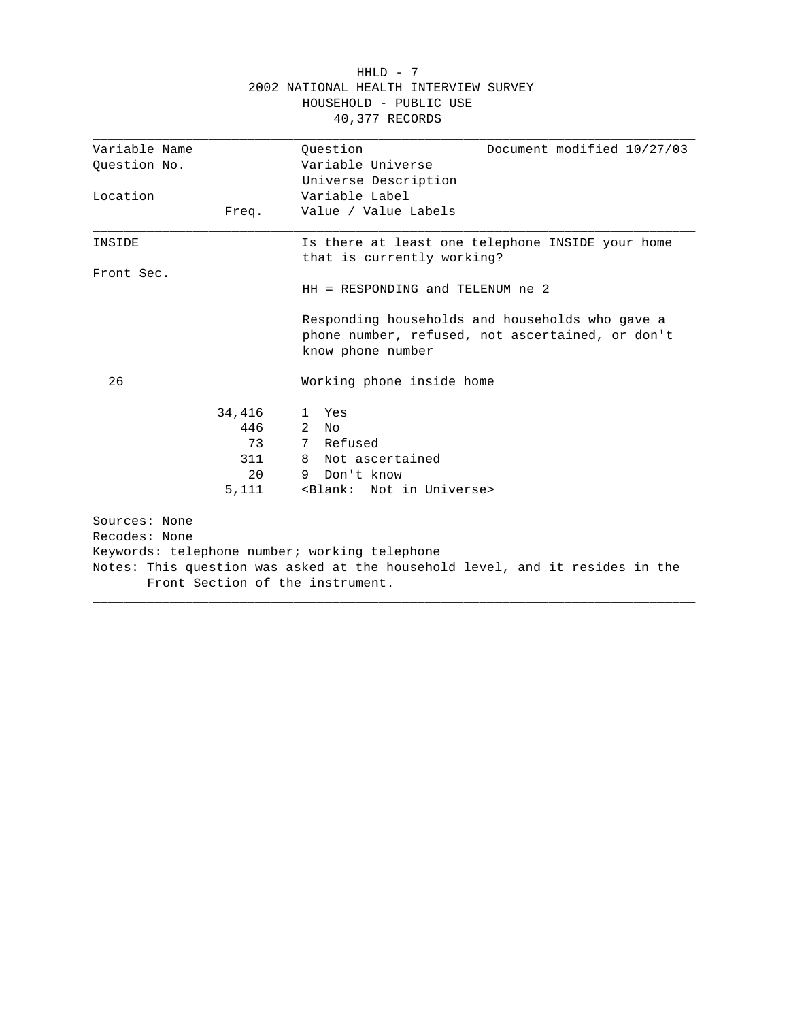|               |        | HOUSEHOLD - PUBLIC USE<br>40,377 RECORDS                                                                                 |
|---------------|--------|--------------------------------------------------------------------------------------------------------------------------|
| Variable Name |        | Ouestion<br>Document modified 10/27/03                                                                                   |
| Ouestion No.  |        | Variable Universe                                                                                                        |
|               |        | Universe Description                                                                                                     |
| Location      |        | Variable Label                                                                                                           |
|               | Freq.  | Value / Value Labels                                                                                                     |
| INSIDE        |        | Is there at least one telephone INSIDE your home<br>that is currently working?                                           |
| Front Sec.    |        |                                                                                                                          |
|               |        | $HH = RESPONDING$ and TELENUM ne 2                                                                                       |
|               |        | Responding households and households who gave a<br>phone number, refused, not ascertained, or don't<br>know phone number |
| 26            |        | Working phone inside home                                                                                                |
|               | 34,416 | Yes<br>1                                                                                                                 |
|               | 446    | 2<br>N <sub>O</sub>                                                                                                      |
|               | 73     | 7 Refused                                                                                                                |
|               | 311    | 8 Not ascertained                                                                                                        |
|               | 20     | Don't know<br>9                                                                                                          |
|               | 5,111  | <blank: in="" not="" universe=""></blank:>                                                                               |
| Sources: None |        |                                                                                                                          |
| Recodes: None |        |                                                                                                                          |
|               |        | Keywords: telephone number; working telephone                                                                            |
|               |        | Notes: This question was asked at the household level, and it resides in the<br>Front Section of the instrument.         |
|               |        |                                                                                                                          |

# $HHLD - 7$ 2002 NATIONAL HEALTH INTERVIEW SURVEY HOUSEHOLD - PUBLIC USE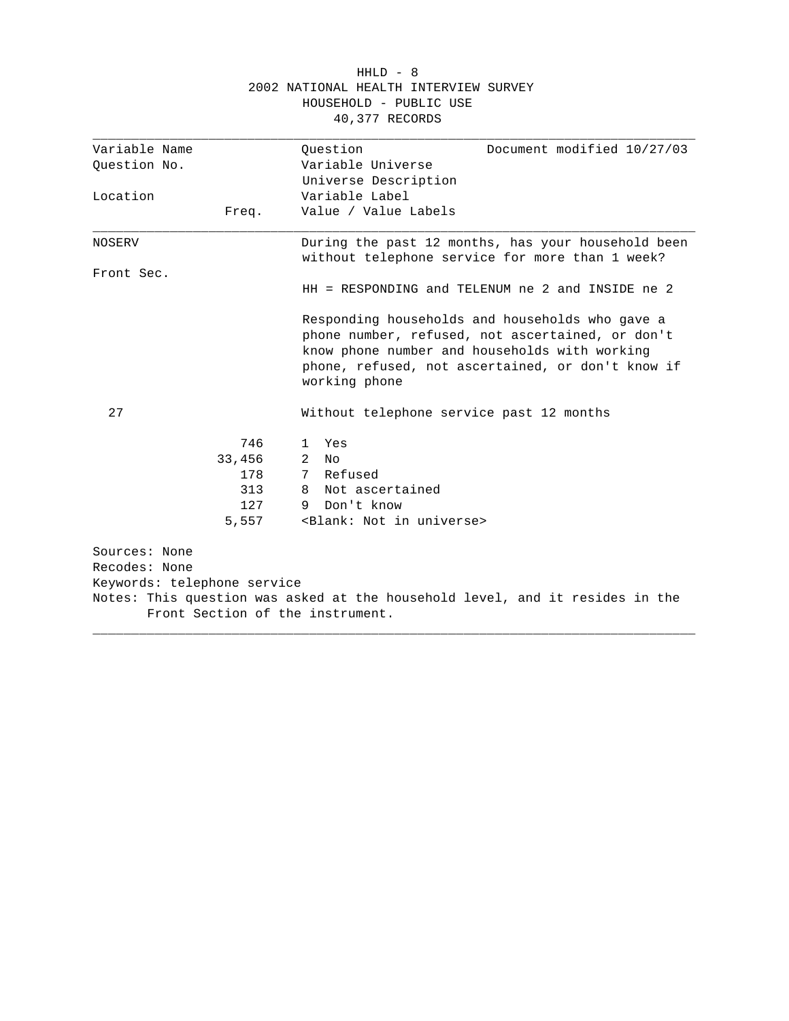| 40,377 RECORDS<br>Ouestion<br>Document modified 10/27/03<br>Variable Universe<br>Universe Description                                                                                                                      |
|----------------------------------------------------------------------------------------------------------------------------------------------------------------------------------------------------------------------------|
|                                                                                                                                                                                                                            |
|                                                                                                                                                                                                                            |
|                                                                                                                                                                                                                            |
|                                                                                                                                                                                                                            |
| Variable Label                                                                                                                                                                                                             |
| Value / Value Labels                                                                                                                                                                                                       |
| During the past 12 months, has your household been<br>without telephone service for more than 1 week?                                                                                                                      |
|                                                                                                                                                                                                                            |
| $HH = RESPONDING$ and TELENUM ne 2 and INSIDE ne 2                                                                                                                                                                         |
| Responding households and households who gave a<br>phone number, refused, not ascertained, or don't<br>know phone number and households with working<br>phone, refused, not ascertained, or don't know if<br>working phone |
| Without telephone service past 12 months                                                                                                                                                                                   |
| Yes<br>1                                                                                                                                                                                                                   |
| $\overline{2}$<br>No                                                                                                                                                                                                       |
| 7 Refused                                                                                                                                                                                                                  |
| Not ascertained<br>8                                                                                                                                                                                                       |
| Don't know<br>9.                                                                                                                                                                                                           |
| <blank: in="" not="" universe=""></blank:>                                                                                                                                                                                 |
| Keywords: telephone service<br>Notes: This question was asked at the household level, and it resides in the<br>Front Section of the instrument.                                                                            |
|                                                                                                                                                                                                                            |

 HHLD - 8 2002 NATIONAL HEALTH INTERVIEW SURVEY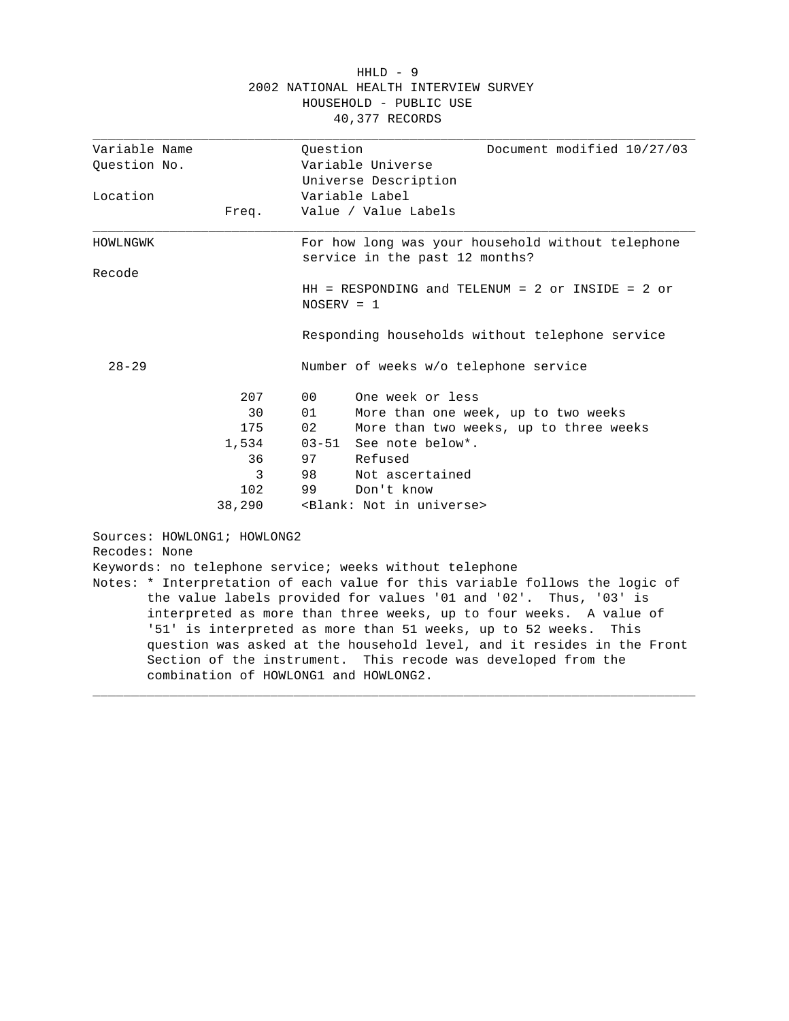|                             |        | HOUSEHOLD - PUBLIC USE<br>40,377 RECORDS                                            |
|-----------------------------|--------|-------------------------------------------------------------------------------------|
| Variable Name               |        | Ouestion<br>Document modified 10/27/03                                              |
| Question No.                |        | Variable Universe                                                                   |
|                             |        | Universe Description                                                                |
| Location                    |        | Variable Label                                                                      |
|                             | Freq.  | Value / Value Labels                                                                |
| HOWLNGWK                    |        | For how long was your household without telephone<br>service in the past 12 months? |
| Recode                      |        |                                                                                     |
|                             |        | $HH$ = RESPONDING and TELENUM = 2 or INSIDE = 2 or<br>$NOSERV = 1$                  |
|                             |        | Responding households without telephone service                                     |
| $28 - 29$                   |        | Number of weeks w/o telephone service                                               |
|                             | 207    | One week or less<br>00                                                              |
|                             | 30     | 01<br>More than one week, up to two weeks                                           |
|                             | 175    | 02<br>More than two weeks, up to three weeks                                        |
|                             | 1,534  | See note below*.<br>03-51                                                           |
|                             | 36     | 97<br>Refused                                                                       |
|                             | 3      | 98<br>Not ascertained                                                               |
|                             | 102    | 99<br>Don't know                                                                    |
|                             | 38,290 | <blank: in="" not="" universe=""></blank:>                                          |
| Sources: HOWLONG1; HOWLONG2 |        |                                                                                     |
| Recodes: None               |        |                                                                                     |
|                             |        | Keywords: no telephone service; weeks without telephone                             |
|                             |        | Notes: * Interpretation of each value for this variable follows the logic of        |
|                             |        | the value labels provided for values '01 and '02'. Thus, '03' is                    |

# 2002 NATIONAL HEALTH INTERVIEW SURVEY HOUSEHOLD - PUBLIC USE

the value labels provided for values '01 and '02'. Thus, '03' is interpreted as more than three weeks, up to four weeks. A value of '51' is interpreted as more than 51 weeks, up to 52 weeks. This question was asked at the household level, and it resides in the Front Section of the instrument. This recode was developed from the combination of HOWLONG1 and HOWLONG2.

\_\_\_\_\_\_\_\_\_\_\_\_\_\_\_\_\_\_\_\_\_\_\_\_\_\_\_\_\_\_\_\_\_\_\_\_\_\_\_\_\_\_\_\_\_\_\_\_\_\_\_\_\_\_\_\_\_\_\_\_\_\_\_\_\_\_\_\_\_\_\_\_\_\_\_\_\_\_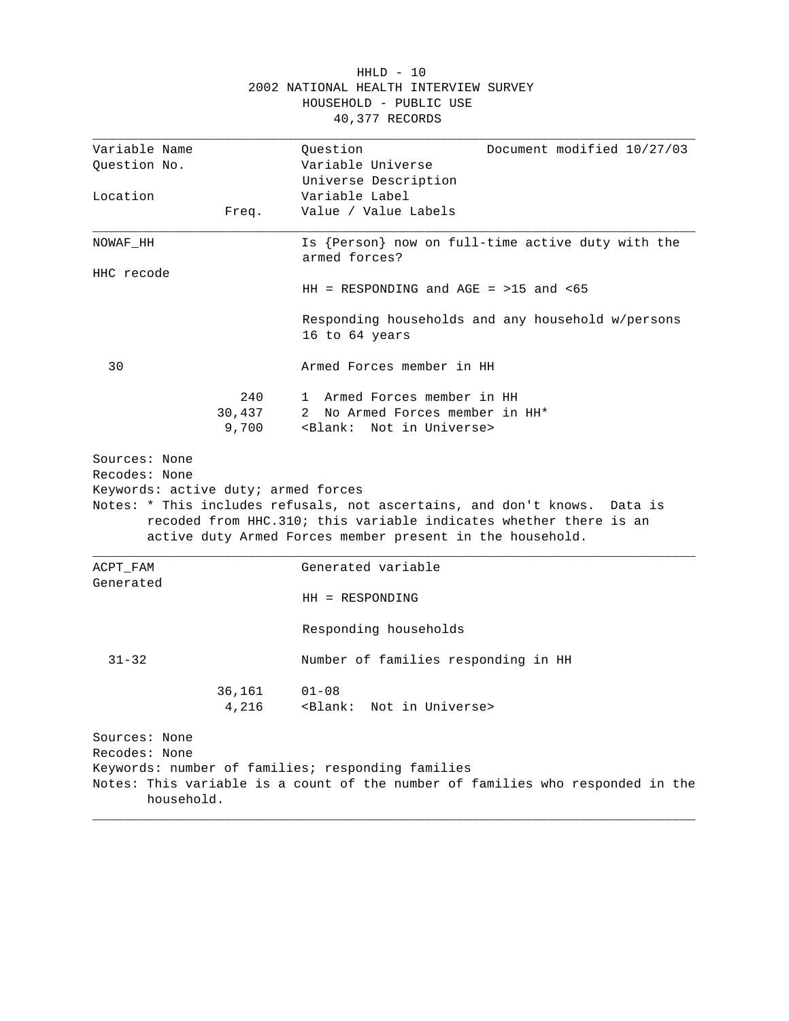|                                                      |        | HOUSEHOLD - PUBLIC USE<br>40,377 RECORDS                                                                                                                                                                       |
|------------------------------------------------------|--------|----------------------------------------------------------------------------------------------------------------------------------------------------------------------------------------------------------------|
| Variable Name                                        |        | Document modified 10/27/03<br>Question                                                                                                                                                                         |
| Ouestion No.                                         |        | Variable Universe                                                                                                                                                                                              |
|                                                      |        | Universe Description                                                                                                                                                                                           |
| Location                                             |        | Variable Label                                                                                                                                                                                                 |
|                                                      | Freq.  | Value / Value Labels                                                                                                                                                                                           |
| NOWAF_HH                                             |        | Is {Person} now on full-time active duty with the<br>armed forces?                                                                                                                                             |
| HHC recode                                           |        |                                                                                                                                                                                                                |
|                                                      |        | $HH$ = RESPONDING and AGE = >15 and <65                                                                                                                                                                        |
|                                                      |        | Responding households and any household w/persons<br>16 to 64 years                                                                                                                                            |
| 30                                                   |        | Armed Forces member in HH                                                                                                                                                                                      |
|                                                      | 240    | 1 Armed Forces member in HH                                                                                                                                                                                    |
|                                                      | 30,437 | 2 No Armed Forces member in HH*                                                                                                                                                                                |
|                                                      | 9,700  | <blank:<br>Not in Universe&gt;</blank:<br>                                                                                                                                                                     |
| Recodes: None<br>Keywords: active duty; armed forces |        | Notes: * This includes refusals, not ascertains, and don't knows.<br>Data is<br>recoded from HHC.310; this variable indicates whether there is an<br>active duty Armed Forces member present in the household. |
| ACPT_FAM                                             |        | Generated variable                                                                                                                                                                                             |
| Generated                                            |        | $HH = RESPONDING$                                                                                                                                                                                              |
|                                                      |        | Responding households                                                                                                                                                                                          |
| $31 - 32$                                            |        | Number of families responding in HH                                                                                                                                                                            |
|                                                      | 36,161 | $01 - 08$                                                                                                                                                                                                      |
|                                                      | 4,216  | <blank:<br>Not in Universe&gt;</blank:<br>                                                                                                                                                                     |
| Sources: None                                        |        |                                                                                                                                                                                                                |
| Recodes: None                                        |        |                                                                                                                                                                                                                |
|                                                      |        | Keywords: number of families; responding families                                                                                                                                                              |
| household.                                           |        | Notes: This variable is a count of the number of families who responded in the                                                                                                                                 |

 HHLD - 10 2002 NATIONAL HEALTH INTERVIEW SURVEY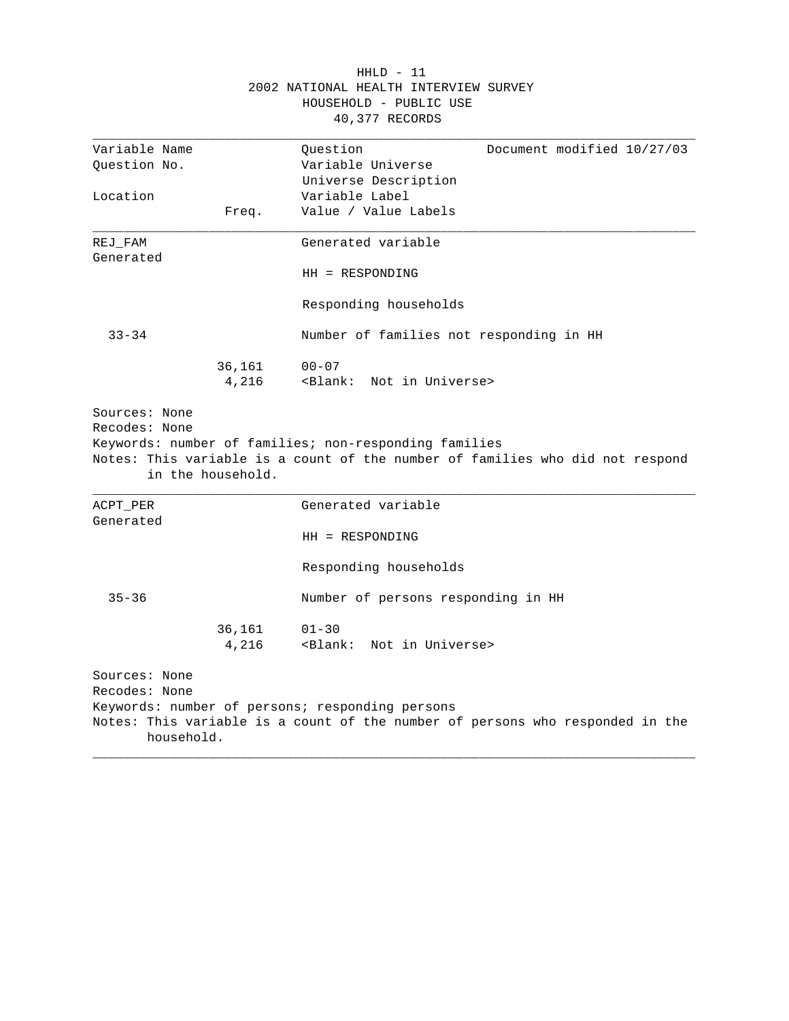|                       |                   | 2002 NATIONAL HEALTH INTERVIEW SURVEY<br>HOUSEHOLD - PUBLIC USE<br>40,377 RECORDS                                                      |
|-----------------------|-------------------|----------------------------------------------------------------------------------------------------------------------------------------|
| Variable Name         |                   | Question<br>Document modified 10/27/03                                                                                                 |
| Ouestion No.          |                   | Variable Universe                                                                                                                      |
|                       |                   | Universe Description<br>Variable Label                                                                                                 |
| Location              | Freq.             | Value / Value Labels                                                                                                                   |
| $REJ_FAM$             |                   | Generated variable                                                                                                                     |
| Generated             |                   | $HH = RESPONDING$                                                                                                                      |
|                       |                   | Responding households                                                                                                                  |
| $33 - 34$             |                   | Number of families not responding in HH                                                                                                |
|                       | 36,161<br>4,216   | $00 - 07$<br><blank: in="" not="" universe=""></blank:>                                                                                |
| Recodes: None         | in the household. | Keywords: number of families; non-responding families<br>Notes: This variable is a count of the number of families who did not respond |
| ACPT PER<br>Generated |                   | Generated variable                                                                                                                     |
|                       |                   | $HH = RESPONDING$                                                                                                                      |
|                       |                   | Responding households                                                                                                                  |
| $35 - 36$             |                   | Number of persons responding in HH                                                                                                     |
|                       |                   |                                                                                                                                        |
|                       | 36,161            | $01 - 30$                                                                                                                              |
|                       | 4,216             | <blank:<br>Not in Universe&gt;</blank:<br>                                                                                             |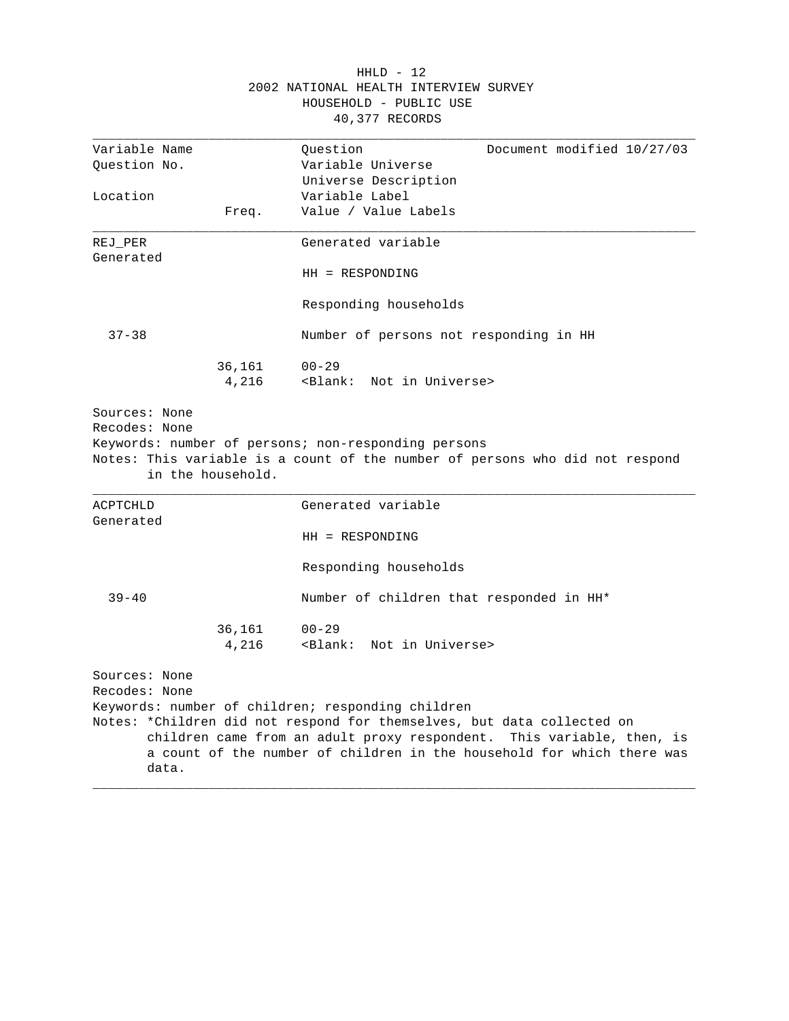|                                         |                   | 2002 NATIONAL HEALTH INTERVIEW SURVEY<br>HOUSEHOLD - PUBLIC USE<br>40,377 RECORDS                                                                                                                                                                                              |
|-----------------------------------------|-------------------|--------------------------------------------------------------------------------------------------------------------------------------------------------------------------------------------------------------------------------------------------------------------------------|
| Variable Name                           |                   | Question<br>Document modified 10/27/03                                                                                                                                                                                                                                         |
| Question No.                            |                   | Variable Universe                                                                                                                                                                                                                                                              |
|                                         |                   | Universe Description                                                                                                                                                                                                                                                           |
| Location                                |                   | Variable Label                                                                                                                                                                                                                                                                 |
|                                         | Freq.             | Value / Value Labels                                                                                                                                                                                                                                                           |
| REJ PER<br>Generated                    |                   | Generated variable                                                                                                                                                                                                                                                             |
|                                         |                   | $HH = RESPONDING$                                                                                                                                                                                                                                                              |
|                                         |                   | Responding households                                                                                                                                                                                                                                                          |
| $37 - 38$                               |                   | Number of persons not responding in HH                                                                                                                                                                                                                                         |
|                                         | 36,161            | $00 - 29$                                                                                                                                                                                                                                                                      |
|                                         | 4,216             | <blank: in="" not="" universe=""></blank:>                                                                                                                                                                                                                                     |
|                                         | in the household. | Notes: This variable is a count of the number of persons who did not respond                                                                                                                                                                                                   |
| ACPTCHLD<br>Generated                   |                   | Generated variable                                                                                                                                                                                                                                                             |
|                                         |                   | $HH = RESPONDING$                                                                                                                                                                                                                                                              |
|                                         |                   | Responding households                                                                                                                                                                                                                                                          |
| $39 - 40$                               |                   | Number of children that responded in HH*                                                                                                                                                                                                                                       |
|                                         | 36,161<br>4,216   | $00 - 29$<br><blank: in="" not="" universe=""></blank:>                                                                                                                                                                                                                        |
| Sources: None<br>Recodes: None<br>data. |                   | Keywords: number of children; responding children<br>Notes: *Children did not respond for themselves, but data collected on<br>children came from an adult proxy respondent. This variable, then, is<br>a count of the number of children in the household for which there was |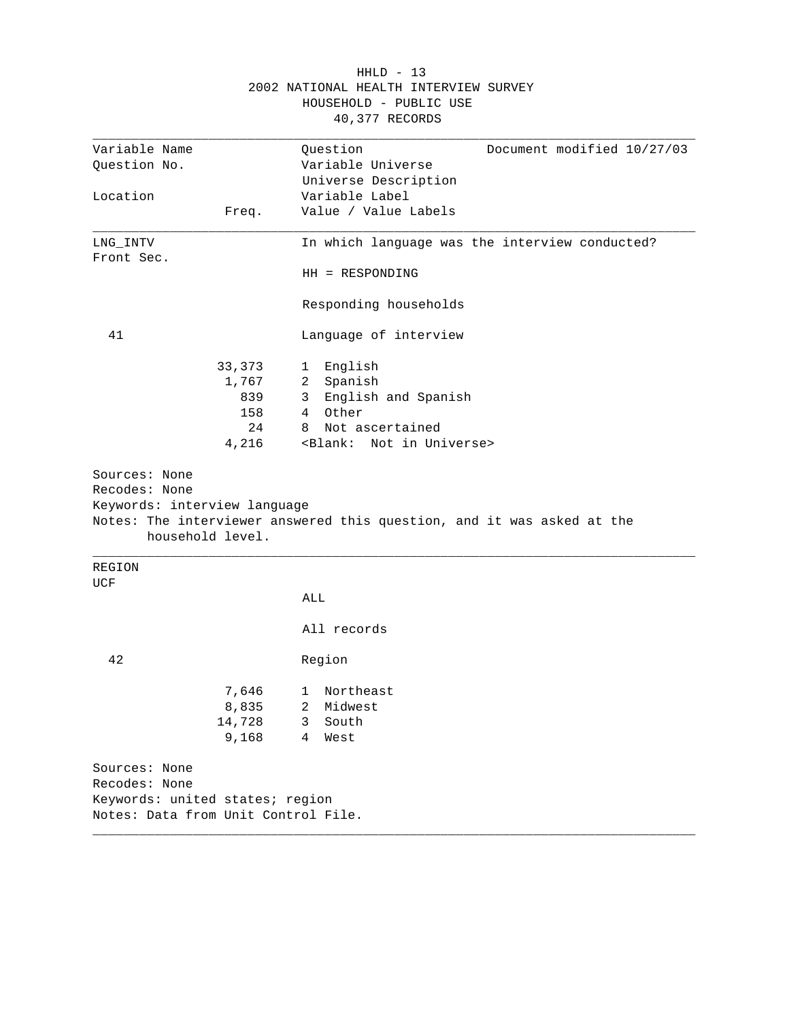| Variable Name                                    |        | Question<br>Document modified 10/27/03                                 |
|--------------------------------------------------|--------|------------------------------------------------------------------------|
| Question No.                                     |        | Variable Universe                                                      |
|                                                  |        | Universe Description                                                   |
| Location                                         |        | Variable Label                                                         |
|                                                  | Freq.  | Value / Value Labels                                                   |
| LNG INTV                                         |        | In which language was the interview conducted?                         |
| Front Sec.                                       |        |                                                                        |
|                                                  |        | HH = RESPONDING                                                        |
|                                                  |        | Responding households                                                  |
| 41                                               |        | Language of interview                                                  |
|                                                  | 33,373 | English<br>$\mathbf{1}$                                                |
|                                                  | 1,767  | Spanish<br>2                                                           |
|                                                  | 839    | English and Spanish<br>3                                               |
|                                                  | 158    | Other<br>4                                                             |
|                                                  | 24     | Not ascertained<br>8                                                   |
|                                                  | 4,216  | <blank: in="" not="" universe=""></blank:>                             |
| Sources: None<br>Recodes: None                   |        |                                                                        |
| Keywords: interview language<br>household level. |        | Notes: The interviewer answered this question, and it was asked at the |
| REGION                                           |        |                                                                        |
| <b>UCF</b>                                       |        | ALL                                                                    |
|                                                  |        | All records                                                            |
| 42                                               |        | Region                                                                 |
|                                                  | 7,646  | 1 Northeast                                                            |
|                                                  | 8,835  | Midwest<br>2                                                           |
|                                                  | 14,728 | 3<br>South                                                             |
|                                                  | 9,168  | 4<br>West                                                              |
| Sources: None                                    |        |                                                                        |
| Recodes: None                                    |        |                                                                        |
| Keywords: united states; region                  |        |                                                                        |

## HHLD - 13 2002 NATIONAL HEALTH INTERVIEW SURVEY HOUSEHOLD - PUBLIC USE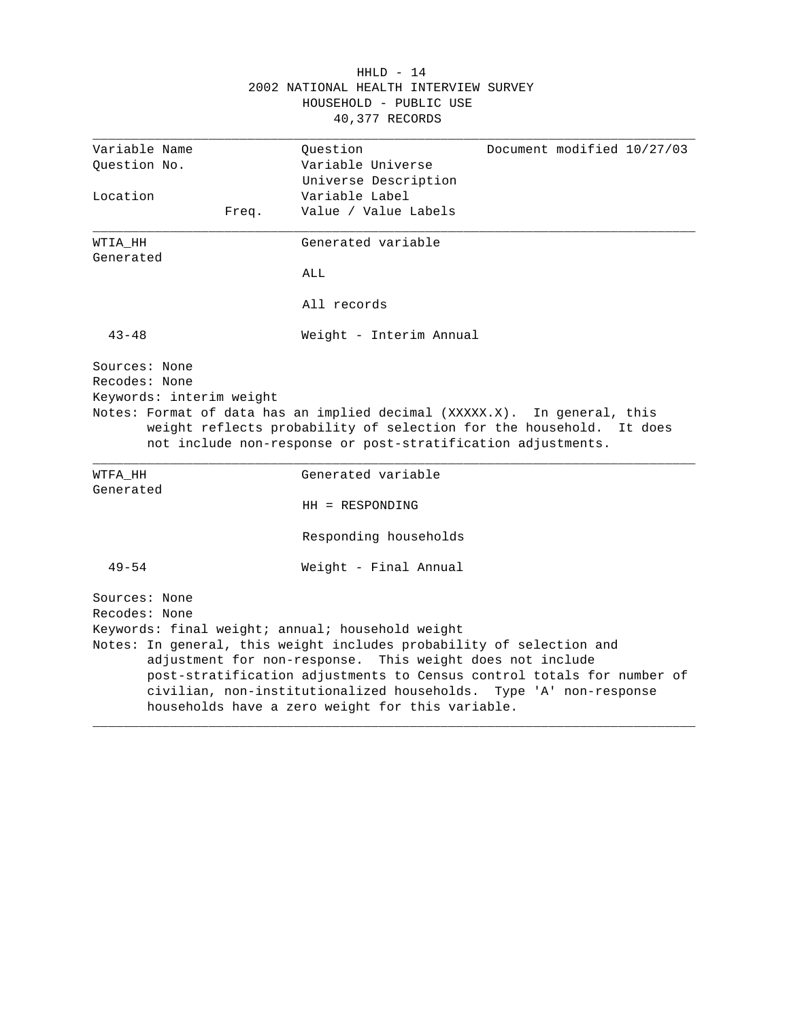|                                           | $HHLD - 14$                                                                                                                                                                                                     |
|-------------------------------------------|-----------------------------------------------------------------------------------------------------------------------------------------------------------------------------------------------------------------|
|                                           | 2002 NATIONAL HEALTH INTERVIEW SURVEY<br>HOUSEHOLD - PUBLIC USE<br>40,377 RECORDS                                                                                                                               |
| Variable Name                             | Document modified 10/27/03<br>Question                                                                                                                                                                          |
| Ouestion No.                              | Variable Universe                                                                                                                                                                                               |
|                                           | Universe Description                                                                                                                                                                                            |
| Location                                  | Variable Label                                                                                                                                                                                                  |
| Freq.                                     | Value / Value Labels                                                                                                                                                                                            |
| WTIA HH<br>Generated                      | Generated variable                                                                                                                                                                                              |
|                                           | ALL                                                                                                                                                                                                             |
|                                           | All records                                                                                                                                                                                                     |
| $43 - 48$                                 | Weight - Interim Annual                                                                                                                                                                                         |
| Recodes: None<br>Keywords: interim weight | Notes: Format of data has an implied decimal (XXXXX.X). In general, this<br>weight reflects probability of selection for the household. It does<br>not include non-response or post-stratification adjustments. |
| WTFA HH                                   | Generated variable                                                                                                                                                                                              |
| Generated                                 | HH = RESPONDING                                                                                                                                                                                                 |
|                                           | Responding households                                                                                                                                                                                           |
| $49 - 54$                                 | Weight - Final Annual                                                                                                                                                                                           |
| Sources: None                             |                                                                                                                                                                                                                 |
| Recodes: None                             |                                                                                                                                                                                                                 |
|                                           | Keywords: final weight; annual; household weight                                                                                                                                                                |
|                                           | Notes: In general, this weight includes probability of selection and<br>adjustment for non-response. This weight does not include                                                                               |
|                                           | post-stratification adjustments to Census control totals for number of<br>civilian, non-institutionalized households. Type 'A' non-response<br>households have a zero weight for this variable.                 |